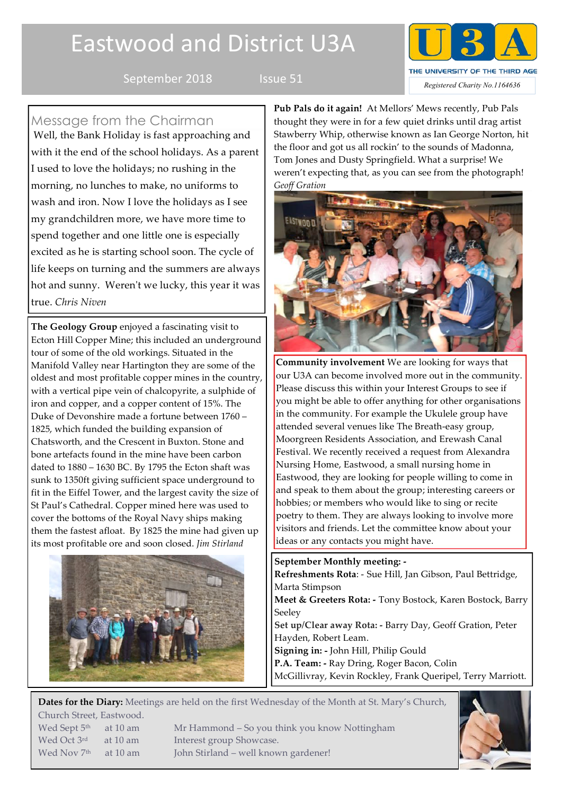# Eastwood and District U3A





Message from the Chairman

Well, the Bank Holiday is fast approaching and with it the end of the school holidays. As a parent I used to love the holidays; no rushing in the morning, no lunches to make, no uniforms to wash and iron. Now I love the holidays as I see my grandchildren more, we have more time to spend together and one little one is especially excited as he is starting school soon. The cycle of life keeps on turning and the summers are always hot and sunny. Weren't we lucky, this year it was true. *Chris Niven*

**The Geology Group** enjoyed a fascinating visit to Ecton Hill Copper Mine; this included an underground tour of some of the old workings. Situated in the Manifold Valley near Hartington they are some of the oldest and most profitable copper mines in the country, with a vertical pipe vein of chalcopyrite, a sulphide of iron and copper, and a copper content of 15%. The Duke of Devonshire made a fortune between 1760 – 1825, which funded the building expansion of Chatsworth, and the Crescent in Buxton. Stone and bone artefacts found in the mine have been carbon dated to 1880 – 1630 BC. By 1795 the Ecton shaft was sunk to 1350ft giving sufficient space underground to fit in the Eiffel Tower, and the largest cavity the size of St Paul's Cathedral. Copper mined here was used to cover the bottoms of the Royal Navy ships making them the fastest afloat. By 1825 the mine had given up its most profitable ore and soon closed. *Jim Stirland*



**Pub Pals do it again!** At Mellors' Mews recently, Pub Pals thought they were in for a few quiet drinks until drag artist Stawberry Whip, otherwise known as Ian George Norton, hit the floor and got us all rockin' to the sounds of Madonna, Tom Jones and Dusty Springfield. What a surprise! We weren't expecting that, as you can see from the photograph! *Geoff Gration*



**Community involvement** We are looking for ways that our U3A can become involved more out in the community. Please discuss this within your Interest Groups to see if you might be able to offer anything for other organisations in the community. For example the Ukulele group have attended several venues like The Breath-easy group, Moorgreen Residents Association, and Erewash Canal Festival. We recently received a request from Alexandra Nursing Home, Eastwood, a small nursing home in Eastwood, they are looking for people willing to come in and speak to them about the group; interesting careers or hobbies; or members who would like to sing or recite poetry to them. They are always looking to involve more visitors and friends. Let the committee know about your ideas or any contacts you might have.

**September Monthly meeting: - Refreshments Rota**: - Sue Hill, Jan Gibson, Paul Bettridge, Marta Stimpson **Meet & Greeters Rota: -** Tony Bostock, Karen Bostock, Barry Seeley **Set up/Clear away Rota: -** Barry Day, Geoff Gration, Peter Hayden, Robert Leam. **Signing in: -** John Hill, Philip Gould **P.A. Team: -** Ray Dring, Roger Bacon, Colin McGillivray, Kevin Rockley, Frank Queripel, Terry Marriott.

**Dates for the Diary:** Meetings are held on the first Wednesday of the Month at St. Mary's Church, Church Street, Eastwood.

Wed Sept 5<sup>th</sup> at 10 am Mr Hammond – So you think you know Nottingham Wed Oct 3<sup>rd</sup> at 10 am Interest group Showcase. Wed Nov  $7<sup>th</sup>$  at 10 am John Stirland – well known gardener!